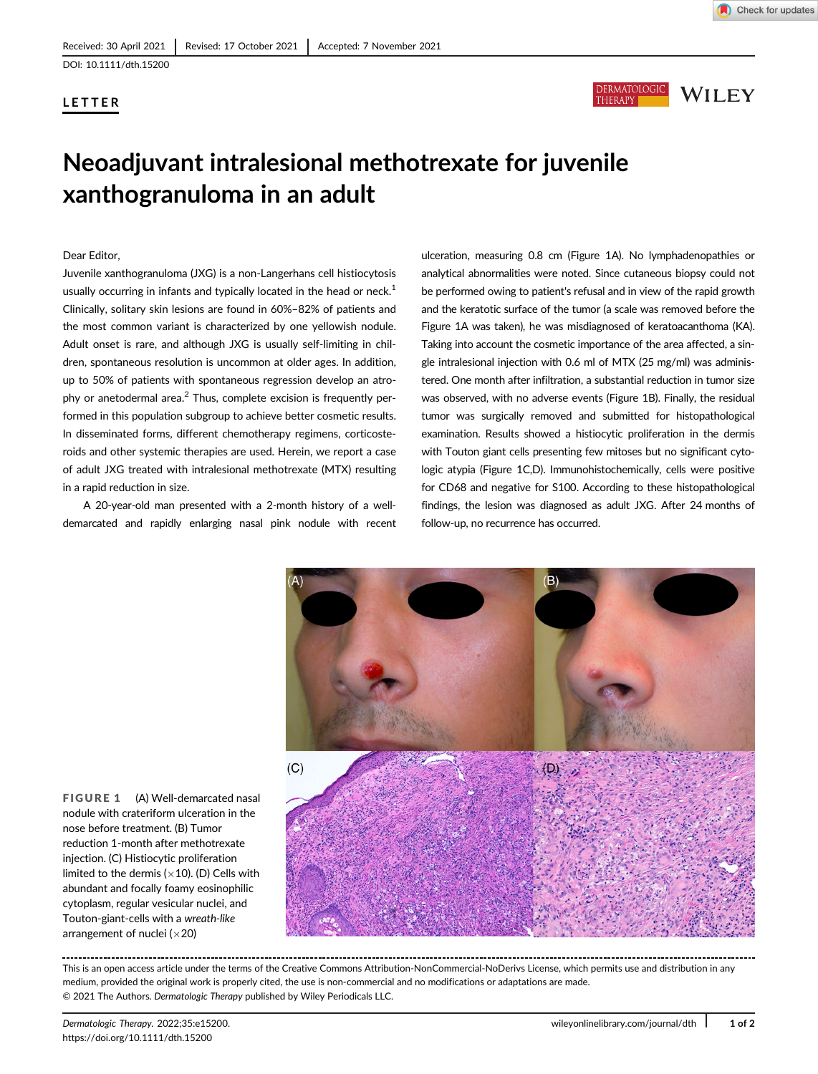# LETTER





# Neoadjuvant intralesional methotrexate for juvenile xanthogranuloma in an adult

### Dear Editor,

Juvenile xanthogranuloma (JXG) is a non-Langerhans cell histiocytosis usually occurring in infants and typically located in the head or neck. $1$ Clinically, solitary skin lesions are found in 60%–82% of patients and the most common variant is characterized by one yellowish nodule. Adult onset is rare, and although JXG is usually self-limiting in children, spontaneous resolution is uncommon at older ages. In addition, up to 50% of patients with spontaneous regression develop an atrophy or anetodermal area.<sup>2</sup> Thus, complete excision is frequently performed in this population subgroup to achieve better cosmetic results. In disseminated forms, different chemotherapy regimens, corticosteroids and other systemic therapies are used. Herein, we report a case of adult JXG treated with intralesional methotrexate (MTX) resulting in a rapid reduction in size.

A 20-year-old man presented with a 2-month history of a welldemarcated and rapidly enlarging nasal pink nodule with recent ulceration, measuring 0.8 cm (Figure 1A). No lymphadenopathies or analytical abnormalities were noted. Since cutaneous biopsy could not be performed owing to patient's refusal and in view of the rapid growth and the keratotic surface of the tumor (a scale was removed before the Figure 1A was taken), he was misdiagnosed of keratoacanthoma (KA). Taking into account the cosmetic importance of the area affected, a single intralesional injection with 0.6 ml of MTX (25 mg/ml) was administered. One month after infiltration, a substantial reduction in tumor size was observed, with no adverse events (Figure 1B). Finally, the residual tumor was surgically removed and submitted for histopathological examination. Results showed a histiocytic proliferation in the dermis with Touton giant cells presenting few mitoses but no significant cytologic atypia (Figure 1C,D). Immunohistochemically, cells were positive for CD68 and negative for S100. According to these histopathological findings, the lesion was diagnosed as adult JXG. After 24 months of follow-up, no recurrence has occurred.



FIGURE 1 (A) Well-demarcated nasal nodule with crateriform ulceration in the nose before treatment. (B) Tumor reduction 1-month after methotrexate injection. (C) Histiocytic proliferation limited to the dermis  $(x10)$ . (D) Cells with abundant and focally foamy eosinophilic cytoplasm, regular vesicular nuclei, and Touton-giant-cells with a wreath-like arrangement of nuclei ( $\times$ 20)

This is an open access article under the terms of the [Creative Commons Attribution-NonCommercial-NoDerivs](http://creativecommons.org/licenses/by-nc-nd/4.0/) License, which permits use and distribution in any medium, provided the original work is properly cited, the use is non-commercial and no modifications or adaptations are made. © 2021 The Authors. Dermatologic Therapy published by Wiley Periodicals LLC.